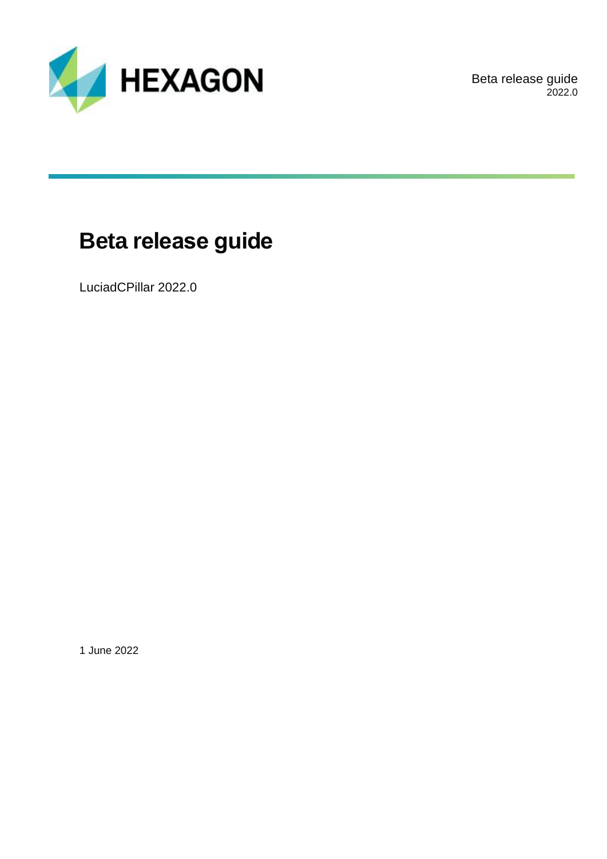

Beta release guide 2022.0

# **Beta release guide**

LuciadCPillar 2022.0

1 June 2022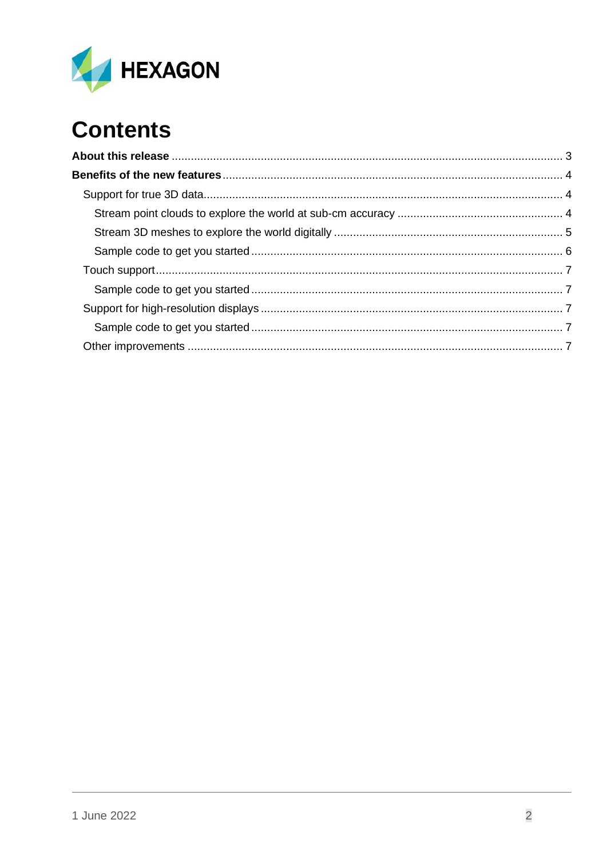

# **Contents**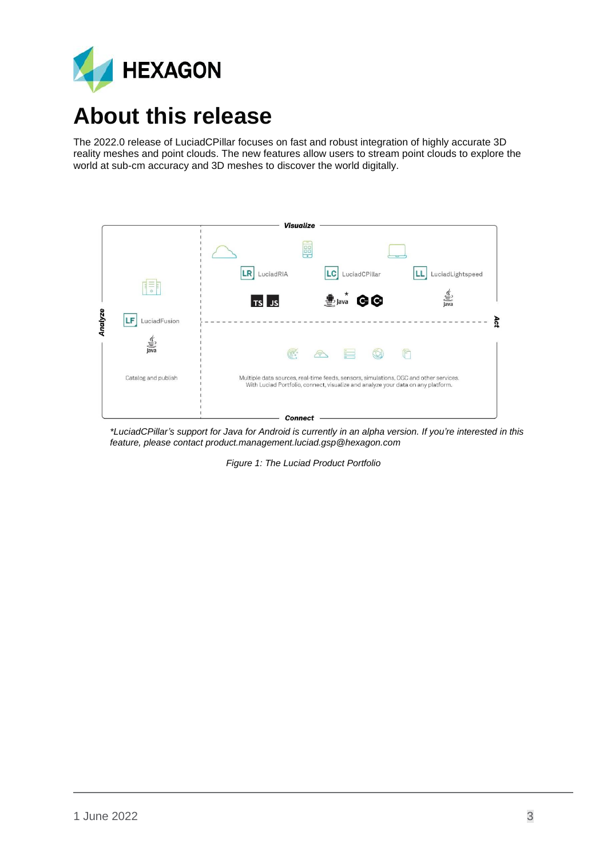

# <span id="page-2-0"></span>**About this release**

The 2022.0 release of LuciadCPillar focuses on fast and robust integration of highly accurate 3D reality meshes and point clouds. The new features allow users to stream point clouds to explore the world at sub-cm accuracy and 3D meshes to discover the world digitally.



*\*LuciadCPillar's support for Java for Android is currently in an alpha version. If you're interested in this feature, please contact product.management.luciad.gsp@hexagon.com*

*Figure 1: The Luciad Product Portfolio*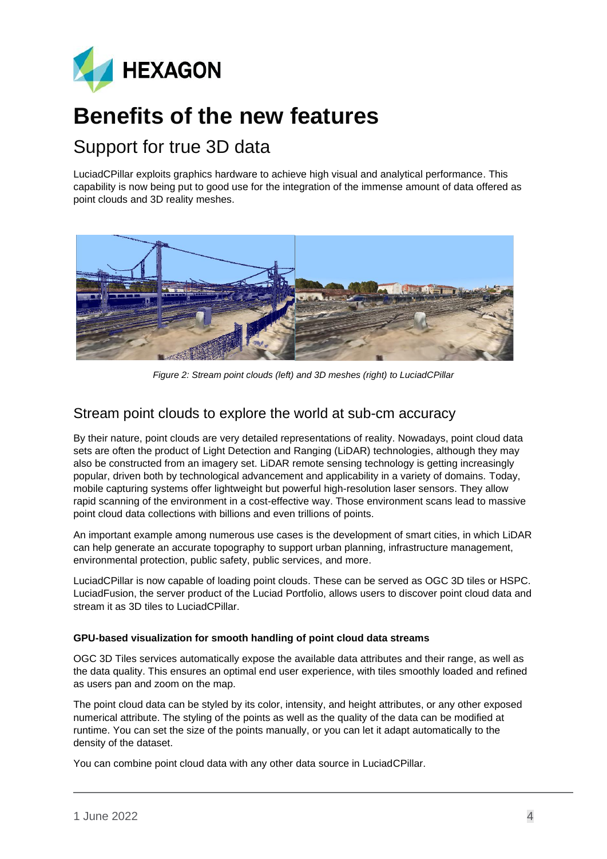

## <span id="page-3-0"></span>**Benefits of the new features**

## <span id="page-3-1"></span>Support for true 3D data

LuciadCPillar exploits graphics hardware to achieve high visual and analytical performance. This capability is now being put to good use for the integration of the immense amount of data offered as point clouds and 3D reality meshes.



*Figure 2: Stream point clouds (left) and 3D meshes (right) to LuciadCPillar*

### <span id="page-3-2"></span>Stream point clouds to explore the world at sub-cm accuracy

By their nature, point clouds are very detailed representations of reality. Nowadays, point cloud data sets are often the product of Light Detection and Ranging (LiDAR) technologies, although they may also be constructed from an imagery set. LiDAR remote sensing technology is getting increasingly popular, driven both by technological advancement and applicability in a variety of domains. Today, mobile capturing systems offer lightweight but powerful high-resolution laser sensors. They allow rapid scanning of the environment in a cost-effective way. Those environment scans lead to massive point cloud data collections with billions and even trillions of points.

An important example among numerous use cases is the development of smart cities, in which LiDAR can help generate an accurate topography to support urban planning, infrastructure management, environmental protection, public safety, public services, and more.

LuciadCPillar is now capable of loading point clouds. These can be served as OGC 3D tiles or HSPC. LuciadFusion, the server product of the Luciad Portfolio, allows users to discover point cloud data and stream it as 3D tiles to LuciadCPillar.

#### **GPU-based visualization for smooth handling of point cloud data streams**

OGC 3D Tiles services automatically expose the available data attributes and their range, as well as the data quality. This ensures an optimal end user experience, with tiles smoothly loaded and refined as users pan and zoom on the map.

The point cloud data can be styled by its color, intensity, and height attributes, or any other exposed numerical attribute. The styling of the points as well as the quality of the data can be modified at runtime. You can set the size of the points manually, or you can let it adapt automatically to the density of the dataset.

You can combine point cloud data with any other data source in LuciadCPillar.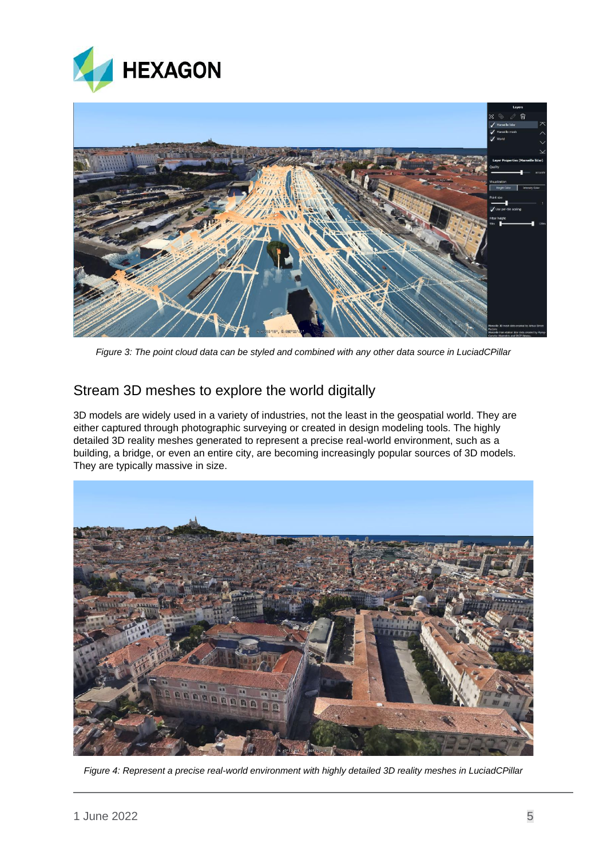



*Figure 3: The point cloud data can be styled and combined with any other data source in LuciadCPillar*

### <span id="page-4-0"></span>Stream 3D meshes to explore the world digitally

3D models are widely used in a variety of industries, not the least in the geospatial world. They are either captured through photographic surveying or created in design modeling tools. The highly detailed 3D reality meshes generated to represent a precise real-world environment, such as a building, a bridge, or even an entire city, are becoming increasingly popular sources of 3D models. They are typically massive in size.



*Figure 4: Represent a precise real-world environment with highly detailed 3D reality meshes in LuciadCPillar*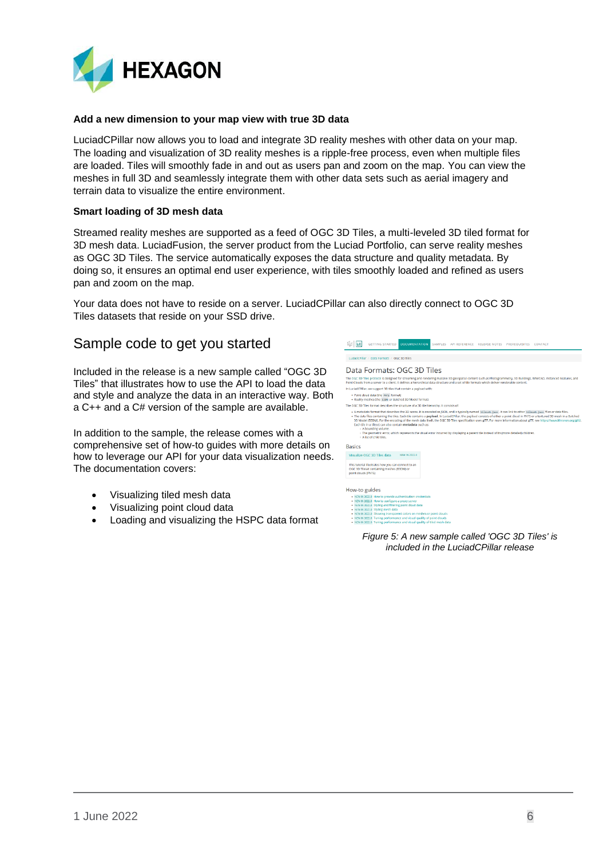

#### **Add a new dimension to your map view with true 3D data**

LuciadCPillar now allows you to load and integrate 3D reality meshes with other data on your map. The loading and visualization of 3D reality meshes is a ripple-free process, even when multiple files are loaded. Tiles will smoothly fade in and out as users pan and zoom on the map. You can view the meshes in full 3D and seamlessly integrate them with other data sets such as aerial imagery and terrain data to visualize the entire environment.

#### **Smart loading of 3D mesh data**

Streamed reality meshes are supported as a feed of OGC 3D Tiles, a multi-leveled 3D tiled format for 3D mesh data. LuciadFusion, the server product from the Luciad Portfolio, can serve reality meshes as OGC 3D Tiles. The service automatically exposes the data structure and quality metadata. By doing so, it ensures an optimal end user experience, with tiles smoothly loaded and refined as users pan and zoom on the map.

Your data does not have to reside on a server. LuciadCPillar can also directly connect to OGC 3D Tiles datasets that reside on your SSD drive.

### <span id="page-5-0"></span>Sample code to get you started

Included in the release is a new sample called "OGC 3D Tiles" that illustrates how to use the API to load the data and style and analyze the data in an interactive way. Both a C++ and a C# version of the sample are available.

In addition to the sample, the release comes with a comprehensive set of how-to guides with more details on how to leverage our API for your data visualization needs. The documentation covers:

- Visualizing tiled mesh data
- Visualizing point cloud data
- Loading and visualizing the HSPC data format

**Az LC** GETTING STARTE LuciadCPillar / Data Formats / OGC 3D Tiles Data Formats: OGC 3D Tiles The OGC 3D Tiles protocol is designed for streaming and rendering mass<br>Point Clouds from a server to a client. It defines a hierarchical data struct In LuciadCPillar, we support 3D tiles that contain a payload with - Point cloud data (the PRTS format)<br>- Reality meshes (the exor or Batched 3D Model format) The OGC 3D Tiles format describes the structure of a 3D tile hierarchy. It consists of tadata format that describes the 3D scene. It is encoded as ISON, and is ty A medala format hat describes the 30 seme. It is encode as JON, and you may still be the start link of the "Elisant start and the medal field of the started property and the started started started started started in the s Model (B3DM), For the en<br>h tile in a tileset can also<br>• A bounding volume.<br>• The geometric error, w **Basics** Visualize OGC 3D Tiles data NEWIN 2022.0 his tutorial illustrates how you can connect<br>OGC 3D Tileset containing meshes (B3DM) (<br>voint clouds (PNTS) How-to guides **Solution State State State State State State State State State State State State State State State State State State State State State State State State State State State State State State State State State State State St** 

*Figure 5: A new sample called 'OGC 3D Tiles' is included in the LuciadCPillar release*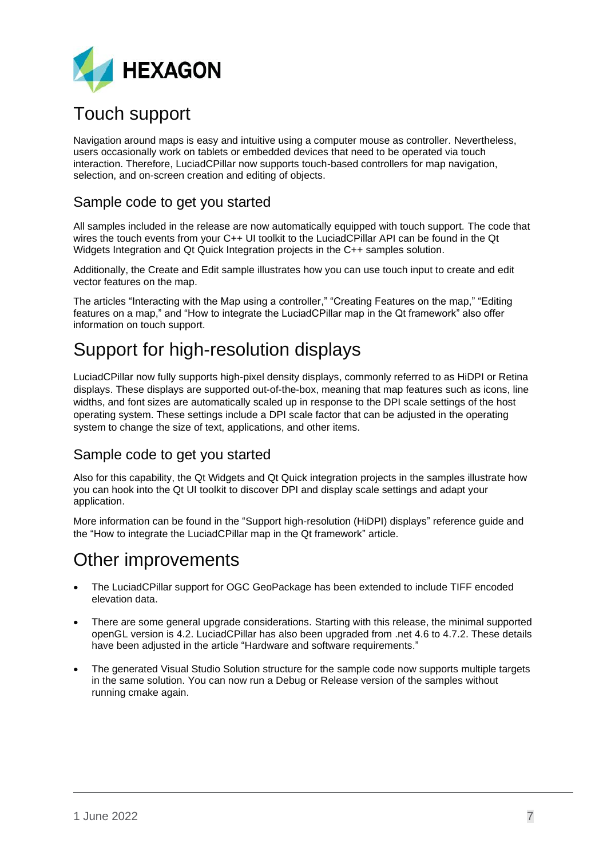

## <span id="page-6-0"></span>Touch support

Navigation around maps is easy and intuitive using a computer mouse as controller. Nevertheless, users occasionally work on tablets or embedded devices that need to be operated via touch interaction. Therefore, LuciadCPillar now supports touch-based controllers for map navigation, selection, and on-screen creation and editing of objects.

## <span id="page-6-1"></span>Sample code to get you started

All samples included in the release are now automatically equipped with touch support. The code that wires the touch events from your C++ UI toolkit to the LuciadCPillar API can be found in the Qt Widgets Integration and Qt Quick Integration projects in the C++ samples solution.

Additionally, the Create and Edit sample illustrates how you can use touch input to create and edit vector features on the map.

The articles "Interacting with the Map using a controller," "Creating Features on the map," "Editing features on a map," and "How to integrate the LuciadCPillar map in the Qt framework" also offer information on touch support.

## <span id="page-6-2"></span>Support for high-resolution displays

LuciadCPillar now fully supports high-pixel density displays, commonly referred to as HiDPI or Retina displays. These displays are supported out-of-the-box, meaning that map features such as icons, line widths, and font sizes are automatically scaled up in response to the DPI scale settings of the host operating system. These settings include a DPI scale factor that can be adjusted in the operating system to change the size of text, applications, and other items.

### <span id="page-6-3"></span>Sample code to get you started

Also for this capability, the Qt Widgets and Qt Quick integration projects in the samples illustrate how you can hook into the Qt UI toolkit to discover DPI and display scale settings and adapt your application.

More information can be found in the "Support high-resolution (HiDPI) displays" reference guide and the "How to integrate the LuciadCPillar map in the Qt framework" article.

## <span id="page-6-4"></span>Other improvements

- The LuciadCPillar support for OGC GeoPackage has been extended to include TIFF encoded elevation data.
- There are some general upgrade considerations. Starting with this release, the minimal supported openGL version is 4.2. LuciadCPillar has also been upgraded from .net 4.6 to 4.7.2. These details have been adjusted in the article "Hardware and software requirements."
- The generated Visual Studio Solution structure for the sample code now supports multiple targets in the same solution. You can now run a Debug or Release version of the samples without running cmake again.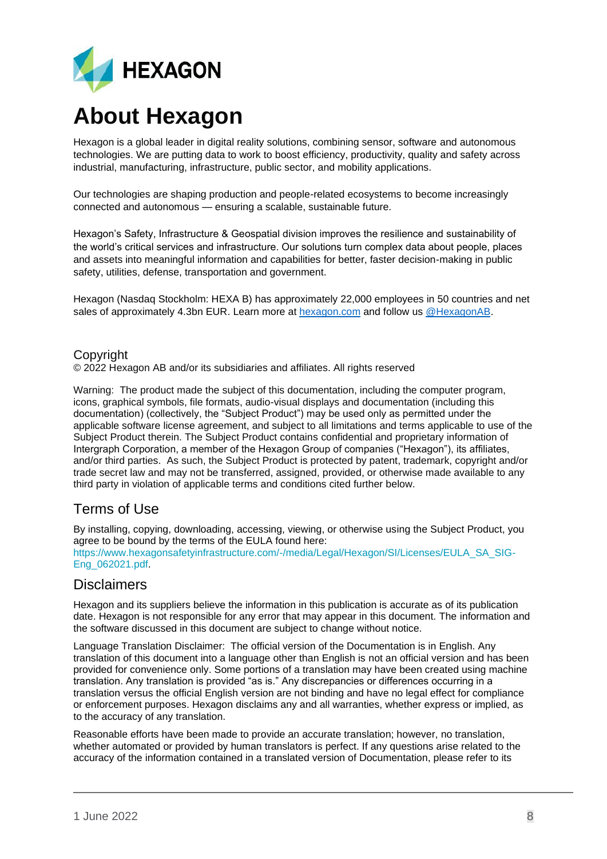

# **About Hexagon**

Hexagon is a global leader in digital reality solutions, combining sensor, software and autonomous technologies. We are putting data to work to boost efficiency, productivity, quality and safety across industrial, manufacturing, infrastructure, public sector, and mobility applications.

Our technologies are shaping production and people-related ecosystems to become increasingly connected and autonomous — ensuring a scalable, sustainable future.

Hexagon's Safety, Infrastructure & Geospatial division improves the resilience and sustainability of the world's critical services and infrastructure. Our solutions turn complex data about people, places and assets into meaningful information and capabilities for better, faster decision-making in public safety, utilities, defense, transportation and government.

Hexagon (Nasdaq Stockholm: HEXA B) has approximately 22,000 employees in 50 countries and net sales of approximately 4.3bn EUR. Learn more at [hexagon.com](https://hexagon.com/) and follow us [@HexagonAB.](https://twitter.com/hexagonab)

#### Copyright

© 2022 Hexagon AB and/or its subsidiaries and affiliates. All rights reserved

Warning: The product made the subject of this documentation, including the computer program, icons, graphical symbols, file formats, audio-visual displays and documentation (including this documentation) (collectively, the "Subject Product") may be used only as permitted under the applicable software license agreement, and subject to all limitations and terms applicable to use of the Subject Product therein. The Subject Product contains confidential and proprietary information of Intergraph Corporation, a member of the Hexagon Group of companies ("Hexagon"), its affiliates, and/or third parties. As such, the Subject Product is protected by patent, trademark, copyright and/or trade secret law and may not be transferred, assigned, provided, or otherwise made available to any third party in violation of applicable terms and conditions cited further below.

## Terms of Use

By installing, copying, downloading, accessing, viewing, or otherwise using the Subject Product, you agree to be bound by the terms of the EULA found here:

[https://www.hexagonsafetyinfrastructure.com/-/media/Legal/Hexagon/SI/Licenses/EULA\\_SA\\_SIG-](https://www.hexagonsafetyinfrastructure.com/-/media/Legal/Hexagon/SI/Licenses/EULA_SA_SIG-Eng_062021.pdf)[Eng\\_062021.pdf.](https://www.hexagonsafetyinfrastructure.com/-/media/Legal/Hexagon/SI/Licenses/EULA_SA_SIG-Eng_062021.pdf)

### **Disclaimers**

Hexagon and its suppliers believe the information in this publication is accurate as of its publication date. Hexagon is not responsible for any error that may appear in this document. The information and the software discussed in this document are subject to change without notice.

Language Translation Disclaimer: The official version of the Documentation is in English. Any translation of this document into a language other than English is not an official version and has been provided for convenience only. Some portions of a translation may have been created using machine translation. Any translation is provided "as is." Any discrepancies or differences occurring in a translation versus the official English version are not binding and have no legal effect for compliance or enforcement purposes. Hexagon disclaims any and all warranties, whether express or implied, as to the accuracy of any translation.

Reasonable efforts have been made to provide an accurate translation; however, no translation, whether automated or provided by human translators is perfect. If any questions arise related to the accuracy of the information contained in a translated version of Documentation, please refer to its